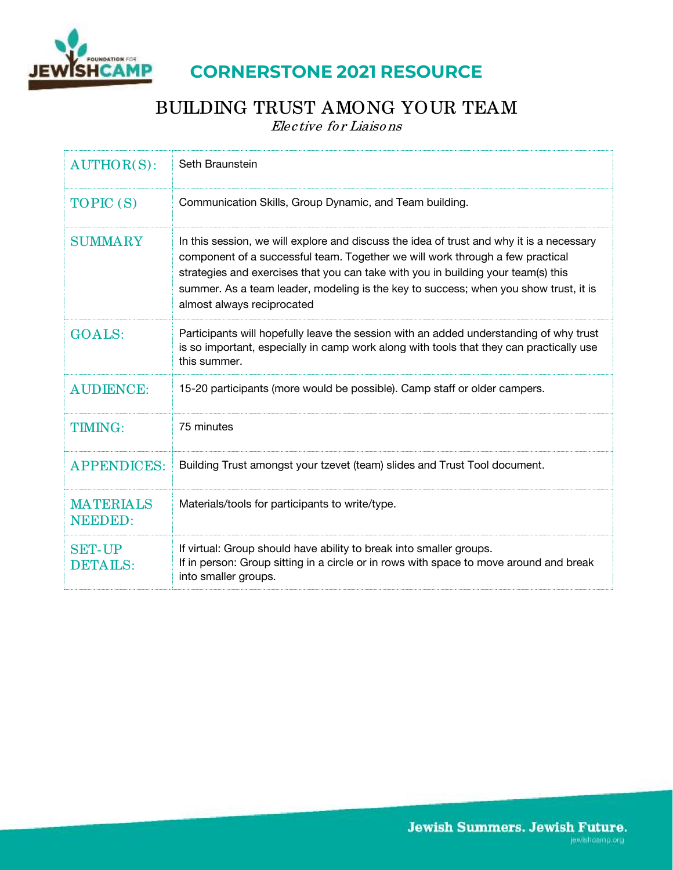

## **CORNERSTONE 2021 RESOURCE**

# BUILDING TRUST AMONG YOUR TEAM

Elective for Liaisons

| $AUTHOR(S)$ :                      | Seth Braunstein                                                                                                                                                                                                                                                                                                                                                                      |
|------------------------------------|--------------------------------------------------------------------------------------------------------------------------------------------------------------------------------------------------------------------------------------------------------------------------------------------------------------------------------------------------------------------------------------|
| TOPIC (S)                          | Communication Skills, Group Dynamic, and Team building.                                                                                                                                                                                                                                                                                                                              |
| <b>SUMMARY</b>                     | In this session, we will explore and discuss the idea of trust and why it is a necessary<br>component of a successful team. Together we will work through a few practical<br>strategies and exercises that you can take with you in building your team(s) this<br>summer. As a team leader, modeling is the key to success; when you show trust, it is<br>almost always reciprocated |
| <b>GOALS:</b>                      | Participants will hopefully leave the session with an added understanding of why trust<br>is so important, especially in camp work along with tools that they can practically use<br>this summer.                                                                                                                                                                                    |
| <b>AUDIENCE:</b>                   | 15-20 participants (more would be possible). Camp staff or older campers.                                                                                                                                                                                                                                                                                                            |
| <b>TIMING:</b>                     | 75 minutes                                                                                                                                                                                                                                                                                                                                                                           |
| <b>APPENDICES:</b>                 | Building Trust amongst your tzevet (team) slides and Trust Tool document.                                                                                                                                                                                                                                                                                                            |
| <b>MATERIALS</b><br><b>NEEDED:</b> | Materials/tools for participants to write/type.                                                                                                                                                                                                                                                                                                                                      |
| <b>SET-UP</b><br>DETAILS:          | If virtual: Group should have ability to break into smaller groups.<br>If in person: Group sitting in a circle or in rows with space to move around and break<br>into smaller groups.                                                                                                                                                                                                |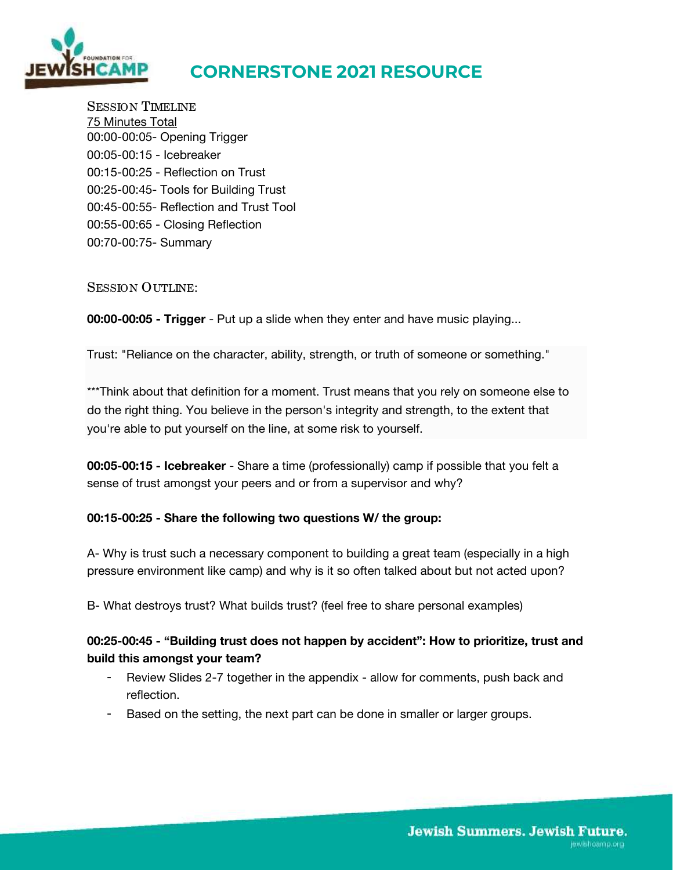

# **CORNERSTONE 2021 RESOURCE**

SESSION TIMELINE 75 Minutes Total 00:00-00:05- Opening Trigger 00:05-00:15 - Icebreaker 00:15-00:25 - Reflection on Trust 00:25-00:45- Tools for Building Trust 00:45-00:55- Reflection and Trust Tool 00:55-00:65 - Closing Reflection 00:70-00:75- Summary

#### SESSION OUTLINE:

**00:00-00:05 - Trigger** - Put up a slide when they enter and have music playing...

Trust: "Reliance on the character, ability, strength, or truth of someone or something."

\*\*\*Think about that definition for a moment. Trust means that you rely on someone else to do the right thing. You believe in the person's integrity and strength, to the extent that you're able to put yourself on the line, at some risk to yourself.

**00:05-00:15 - Icebreaker** - Share a time (professionally) camp if possible that you felt a sense of trust amongst your peers and or from a supervisor and why?

#### **00:15-00:25 - Share the following two questions W/ the group:**

A- Why is trust such a necessary component to building a great team (especially in a high pressure environment like camp) and why is it so often talked about but not acted upon?

B- What destroys trust? What builds trust? (feel free to share personal examples)

### **00:25-00:45 - "Building trust does not happen by accident": How to prioritize, trust and build this amongst your team?**

- Review Slides 2-7 together in the appendix allow for comments, push back and reflection.
- Based on the setting, the next part can be done in smaller or larger groups.